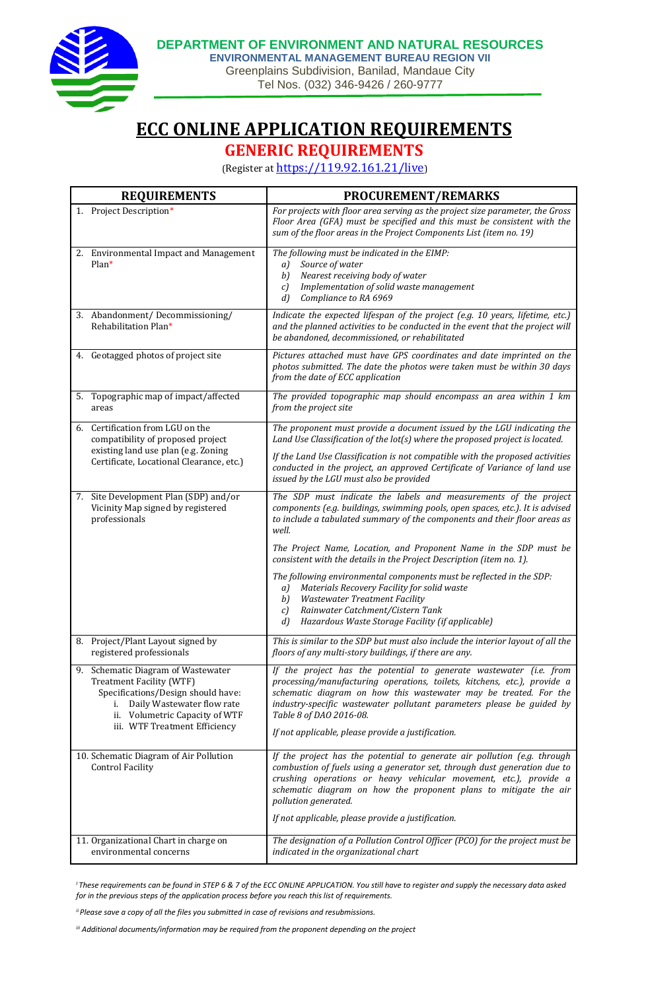

**DEPARTMENT OF ENVIRONMENT AND NATURAL RESOURCES**

**ENVIRONMENTAL MANAGEMENT BUREAU REGION VII** Greenplains Subdivision, Banilad, Mandaue City Tel Nos. (032) 346-9426 / 260-9777

**ECC ONLINE APPLICATION REQUIREMENTS**

**GENERIC REQUIREMENTS**

(Register at <https://119.92.161.21/live>)

|  | <b>REQUIREMENTS</b>                                                                                                                                                                                      | <b>PROCUREMENT/REMARKS</b>                                                                                                                                                                                                                                                                                                                                                   |
|--|----------------------------------------------------------------------------------------------------------------------------------------------------------------------------------------------------------|------------------------------------------------------------------------------------------------------------------------------------------------------------------------------------------------------------------------------------------------------------------------------------------------------------------------------------------------------------------------------|
|  | 1. Project Description*                                                                                                                                                                                  | For projects with floor area serving as the project size parameter, the Gross<br>Floor Area (GFA) must be specified and this must be consistent with the<br>sum of the floor areas in the Project Components List (item no. 19)                                                                                                                                              |
|  | 2. Environmental Impact and Management<br>$Plan*$                                                                                                                                                        | The following must be indicated in the EIMP:<br>Source of water<br>a)<br>b)<br>Nearest receiving body of water<br>Implementation of solid waste management<br>c)<br>d<br>Compliance to RA 6969                                                                                                                                                                               |
|  | 3. Abandonment/Decommissioning/<br>Rehabilitation Plan*                                                                                                                                                  | Indicate the expected lifespan of the project (e.g. 10 years, lifetime, etc.)<br>and the planned activities to be conducted in the event that the project will<br>be abandoned, decommissioned, or rehabilitated                                                                                                                                                             |
|  | 4. Geotagged photos of project site                                                                                                                                                                      | Pictures attached must have GPS coordinates and date imprinted on the<br>photos submitted. The date the photos were taken must be within 30 days<br>from the date of ECC application                                                                                                                                                                                         |
|  | 5. Topographic map of impact/affected<br>areas                                                                                                                                                           | The provided topographic map should encompass an area within 1 km<br>from the project site                                                                                                                                                                                                                                                                                   |
|  | 6. Certification from LGU on the<br>compatibility of proposed project<br>existing land use plan (e.g. Zoning<br>Certificate, Locational Clearance, etc.)                                                 | The proponent must provide a document issued by the LGU indicating the<br>Land Use Classification of the lot(s) where the proposed project is located.                                                                                                                                                                                                                       |
|  |                                                                                                                                                                                                          | If the Land Use Classification is not compatible with the proposed activities<br>conducted in the project, an approved Certificate of Variance of land use<br>issued by the LGU must also be provided                                                                                                                                                                        |
|  | 7. Site Development Plan (SDP) and/or<br>Vicinity Map signed by registered<br>professionals                                                                                                              | The SDP must indicate the labels and measurements of the project<br>components (e.g. buildings, swimming pools, open spaces, etc.). It is advised<br>to include a tabulated summary of the components and their floor areas as<br>well.                                                                                                                                      |
|  |                                                                                                                                                                                                          | The Project Name, Location, and Proponent Name in the SDP must be<br>consistent with the details in the Project Description (item no. 1).                                                                                                                                                                                                                                    |
|  |                                                                                                                                                                                                          | The following environmental components must be reflected in the SDP:<br>Materials Recovery Facility for solid waste<br>a)<br>b)<br><b>Wastewater Treatment Facility</b><br>Rainwater Catchment/Cistern Tank<br>$\mathcal{C}$                                                                                                                                                 |
|  |                                                                                                                                                                                                          | Hazardous Waste Storage Facility (if applicable)<br>d                                                                                                                                                                                                                                                                                                                        |
|  | 8. Project/Plant Layout signed by<br>registered professionals                                                                                                                                            | This is similar to the SDP but must also include the interior layout of all the<br>floors of any multi-story buildings, if there are any.                                                                                                                                                                                                                                    |
|  | 9. Schematic Diagram of Wastewater<br>Treatment Facility (WTF)<br>Specifications/Design should have:<br>i. Daily Wastewater flow rate<br>ii. Volumetric Capacity of WTF<br>iii. WTF Treatment Efficiency | If the project has the potential to generate wastewater (i.e. from<br>processing/manufacturing operations, toilets, kitchens, etc.), provide a<br>schematic diagram on how this wastewater may be treated. For the<br>industry-specific wastewater pollutant parameters please be guided by<br>Table 8 of DAO 2016-08.<br>If not applicable, please provide a justification. |
|  | 10. Schematic Diagram of Air Pollution<br><b>Control Facility</b>                                                                                                                                        | If the project has the potential to generate air pollution (e.g. through<br>combustion of fuels using a generator set, through dust generation due to<br>crushing operations or heavy vehicular movement, etc.), provide a<br>schematic diagram on how the proponent plans to mitigate the air<br>pollution generated.                                                       |
|  |                                                                                                                                                                                                          | If not applicable, please provide a justification.                                                                                                                                                                                                                                                                                                                           |
|  | 11. Organizational Chart in charge on<br>environmental concerns                                                                                                                                          | The designation of a Pollution Control Officer (PCO) for the project must be<br>indicated in the organizational chart                                                                                                                                                                                                                                                        |

*<sup>I</sup>These requirements can be found in STEP 6 & 7 of the ECC ONLINE APPLICATION. You still have to register and supply the necessary data asked for in the previous steps of the application process before you reach this list of requirements.*

*ii Please save a copy of all the files you submitted in case of revisions and resubmissions.*

*iii Additional documents/information may be required from the proponent depending on the project*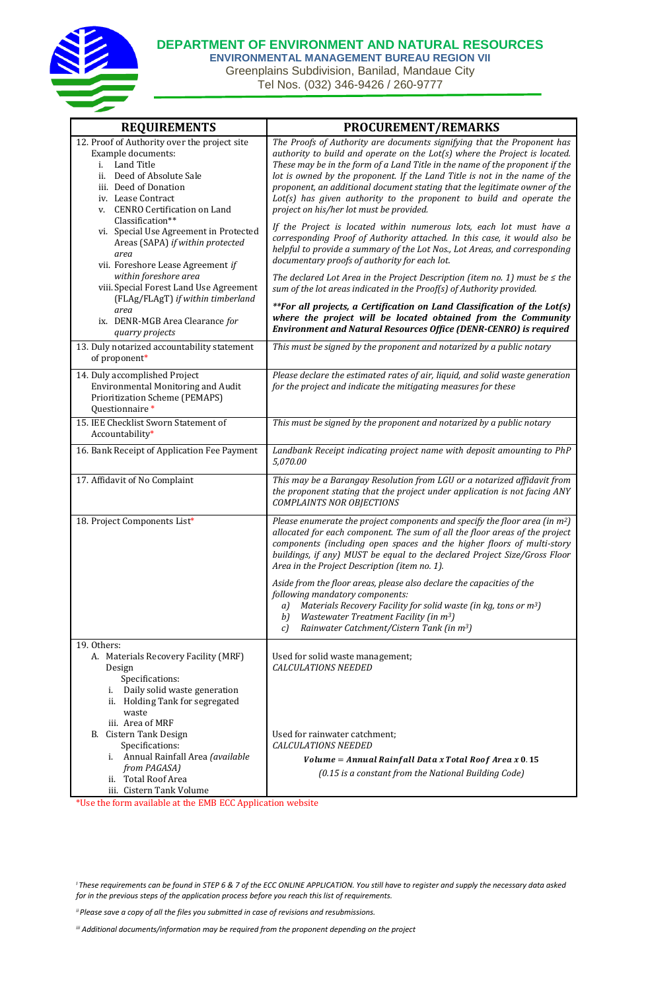

**DEPARTMENT OF ENVIRONMENT AND NATURAL RESOURCES**

**ENVIRONMENTAL MANAGEMENT BUREAU REGION VII** Greenplains Subdivision, Banilad, Mandaue City Tel Nos. (032) 346-9426 / 260-9777

| <b>REQUIREMENTS</b>                                                                                                                                                                               | <b>PROCUREMENT/REMARKS</b>                                                                                                                                                                                                                                                                                                                                                                                                                                                                                              |
|---------------------------------------------------------------------------------------------------------------------------------------------------------------------------------------------------|-------------------------------------------------------------------------------------------------------------------------------------------------------------------------------------------------------------------------------------------------------------------------------------------------------------------------------------------------------------------------------------------------------------------------------------------------------------------------------------------------------------------------|
| 12. Proof of Authority over the project site<br>Example documents:<br>i. Land Title<br>ii. Deed of Absolute Sale<br>iii. Deed of Donation<br>iv. Lease Contract<br>v. CENRO Certification on Land | The Proofs of Authority are documents signifying that the Proponent has<br>authority to build and operate on the Lot(s) where the Project is located.<br>These may be in the form of a Land Title in the name of the proponent if the<br>lot is owned by the proponent. If the Land Title is not in the name of the<br>proponent, an additional document stating that the legitimate owner of the<br>$Lot(s)$ has given authority to the proponent to build and operate the<br>project on his/her lot must be provided. |
| Classification**<br>vi. Special Use Agreement in Protected<br>Areas (SAPA) if within protected<br>area<br>vii. Foreshore Lease Agreement if                                                       | If the Project is located within numerous lots, each lot must have a<br>corresponding Proof of Authority attached. In this case, it would also be<br>helpful to provide a summary of the Lot Nos., Lot Areas, and corresponding<br>documentary proofs of authority for each lot.                                                                                                                                                                                                                                        |
| within foreshore area<br>viii. Special Forest Land Use Agreement<br>(FLAg/FLAgT) if within timberland                                                                                             | The declared Lot Area in the Project Description (item no. 1) must be $\leq$ the<br>sum of the lot areas indicated in the Proof(s) of Authority provided.                                                                                                                                                                                                                                                                                                                                                               |
| area<br>ix. DENR-MGB Area Clearance for<br>quarry projects                                                                                                                                        | **For all projects, a Certification on Land Classification of the Lot(s)<br>where the project will be located obtained from the Community<br>Environment and Natural Resources Office (DENR-CENRO) is required                                                                                                                                                                                                                                                                                                          |
| 13. Duly notarized accountability statement<br>of proponent*                                                                                                                                      | This must be signed by the proponent and notarized by a public notary                                                                                                                                                                                                                                                                                                                                                                                                                                                   |
| 14. Duly accomplished Project<br>Environmental Monitoring and Audit<br>Prioritization Scheme (PEMAPS)<br>Questionnaire *                                                                          | Please declare the estimated rates of air, liquid, and solid waste generation<br>for the project and indicate the mitigating measures for these                                                                                                                                                                                                                                                                                                                                                                         |
| 15. IEE Checklist Sworn Statement of<br>Accountability*                                                                                                                                           | This must be signed by the proponent and notarized by a public notary                                                                                                                                                                                                                                                                                                                                                                                                                                                   |
| 16. Bank Receipt of Application Fee Payment                                                                                                                                                       | Landbank Receipt indicating project name with deposit amounting to PhP<br>5,070.00                                                                                                                                                                                                                                                                                                                                                                                                                                      |
| 17. Affidavit of No Complaint                                                                                                                                                                     | This may be a Barangay Resolution from LGU or a notarized affidavit from<br>the proponent stating that the project under application is not facing ANY<br><b>COMPLAINTS NOR OBJECTIONS</b>                                                                                                                                                                                                                                                                                                                              |
| 18. Project Components List*                                                                                                                                                                      | Please enumerate the project components and specify the floor area (in m <sup>2</sup> )<br>allocated for each component. The sum of all the floor areas of the project<br>components (including open spaces and the higher floors of multi-story<br>buildings, if any) MUST be equal to the declared Project Size/Gross Floor<br>Area in the Project Description (item no. 1).                                                                                                                                          |
|                                                                                                                                                                                                   | Aside from the floor areas, please also declare the capacities of the<br>following mandatory components:<br>Materials Recovery Facility for solid waste (in kg, tons or m <sup>3</sup> )<br>a)<br>Wastewater Treatment Facility (in m <sup>3</sup> )<br>b)<br>Rainwater Catchment/Cistern Tank (in m <sup>3</sup> )<br>c)                                                                                                                                                                                               |
| 19. Others:<br>A. Materials Recovery Facility (MRF)<br>Design<br>Specifications:<br>i. Daily solid waste generation<br>ii. Holding Tank for segregated<br>waste                                   | Used for solid waste management;<br><b>CALCULATIONS NEEDED</b>                                                                                                                                                                                                                                                                                                                                                                                                                                                          |
| iii. Area of MRF<br>B. Cistern Tank Design<br>Specifications:<br>i. Annual Rainfall Area (available<br>from PAGASA)<br>ii. Total Roof Area<br>iii. Cistern Tank Volume                            | Used for rainwater catchment;<br><b>CALCULATIONS NEEDED</b><br>Volume = Annual Rainfall Data x Total Roof Area x 0.15<br>(0.15 is a constant from the National Building Code)                                                                                                                                                                                                                                                                                                                                           |

\*Use the form available at the EMB ECC Application website

*<sup>I</sup>These requirements can be found in STEP 6 & 7 of the ECC ONLINE APPLICATION. You still have to register and supply the necessary data asked for in the previous steps of the application process before you reach this list of requirements.*

*ii Please save a copy of all the files you submitted in case of revisions and resubmissions.*

*iii Additional documents/information may be required from the proponent depending on the project*